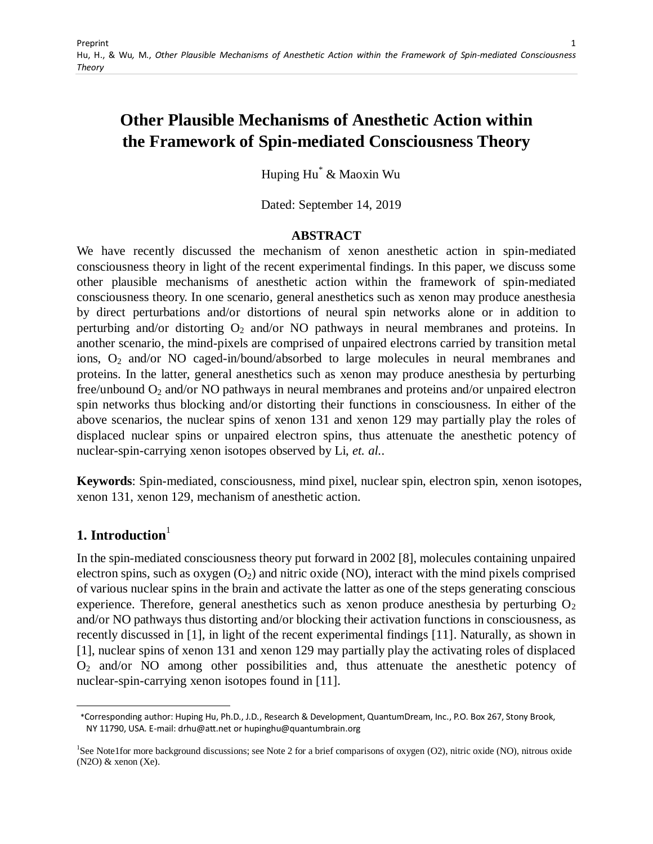# **Other Plausible Mechanisms of Anesthetic Action within the Framework of Spin-mediated Consciousness Theory**

Huping Hu\* & Maoxin Wu

Dated: September 14, 2019

#### **ABSTRACT**

We have recently discussed the mechanism of xenon anesthetic action in spin-mediated consciousness theory in light of the recent experimental findings. In this paper, we discuss some other plausible mechanisms of anesthetic action within the framework of spin-mediated consciousness theory. In one scenario, general anesthetics such as xenon may produce anesthesia by direct perturbations and/or distortions of neural spin networks alone or in addition to perturbing and/or distorting  $O_2$  and/or NO pathways in neural membranes and proteins. In another scenario, the mind-pixels are comprised of unpaired electrons carried by transition metal ions, O<sub>2</sub> and/or NO caged-in/bound/absorbed to large molecules in neural membranes and proteins. In the latter, general anesthetics such as xenon may produce anesthesia by perturbing free/unbound O<sup>2</sup> and/or NO pathways in neural membranes and proteins and/or unpaired electron spin networks thus blocking and/or distorting their functions in consciousness. In either of the above scenarios, the nuclear spins of xenon 131 and xenon 129 may partially play the roles of displaced nuclear spins or unpaired electron spins, thus attenuate the anesthetic potency of nuclear-spin-carrying xenon isotopes observed by Li, *et. al.*.

**Keywords**: Spin-mediated, consciousness, mind pixel, nuclear spin, electron spin, xenon isotopes, xenon 131, xenon 129, mechanism of anesthetic action.

# **1.** Introduction<sup>1</sup>

 $\overline{a}$ 

In the spin-mediated consciousness theory put forward in 2002 [8], molecules containing unpaired electron spins, such as  $\alpha$ ygen  $(O_2)$  and nitric oxide (NO), interact with the mind pixels comprised of various nuclear spins in the brain and activate the latter as one of the steps generating conscious experience. Therefore, general anesthetics such as xenon produce anesthesia by perturbing  $O_2$ and/or NO pathways thus distorting and/or blocking their activation functions in consciousness, as recently discussed in [1], in light of the recent experimental findings [11]. Naturally, as shown in [1], nuclear spins of xenon 131 and xenon 129 may partially play the activating roles of displaced  $O<sub>2</sub>$  and/or NO among other possibilities and, thus attenuate the anesthetic potency of nuclear-spin-carrying xenon isotopes found in [11].

 <sup>\*</sup>Corresponding author: Huping Hu, Ph.D., J.D., Research & Development, QuantumDream, Inc., P.O. Box 267, Stony Brook, NY 11790, USA. E-mail: drhu@att.net or hupinghu@quantumbrain.org

<sup>&</sup>lt;sup>1</sup>See Note1for more background discussions; see Note 2 for a brief comparisons of oxygen (O2), nitric oxide (NO), nitrous oxide  $(N2O)$  & xenon  $(Xe)$ .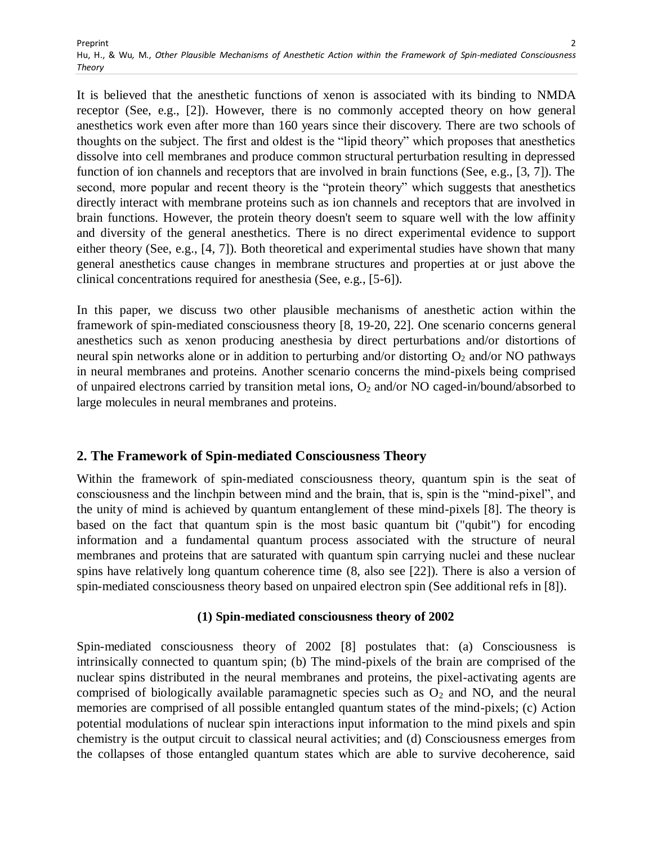It is believed that the anesthetic functions of xenon is associated with its binding to NMDA receptor (See, e.g., [2]). However, there is no commonly accepted theory on how general anesthetics work even after more than 160 years since their discovery. There are two schools of thoughts on the subject. The first and oldest is the "lipid theory" which proposes that anesthetics dissolve into cell membranes and produce common structural perturbation resulting in depressed function of ion channels and receptors that are involved in brain functions (See, e.g., [3, 7]). The second, more popular and recent theory is the "protein theory" which suggests that anesthetics directly interact with membrane proteins such as ion channels and receptors that are involved in brain functions. However, the protein theory doesn't seem to square well with the low affinity and diversity of the general anesthetics. There is no direct experimental evidence to support either theory (See, e.g., [4, 7]). Both theoretical and experimental studies have shown that many general anesthetics cause changes in membrane structures and properties at or just above the clinical concentrations required for anesthesia (See, e.g., [5-6]).

In this paper, we discuss two other plausible mechanisms of anesthetic action within the framework of spin-mediated consciousness theory [8, 19-20, 22]. One scenario concerns general anesthetics such as xenon producing anesthesia by direct perturbations and/or distortions of neural spin networks alone or in addition to perturbing and/or distorting  $O_2$  and/or NO pathways in neural membranes and proteins. Another scenario concerns the mind-pixels being comprised of unpaired electrons carried by transition metal ions, O<sub>2</sub> and/or NO caged-in/bound/absorbed to large molecules in neural membranes and proteins.

# **2. The Framework of Spin-mediated Consciousness Theory**

Within the framework of spin-mediated consciousness theory, quantum spin is the seat of consciousness and the linchpin between mind and the brain, that is, spin is the "mind-pixel", and the unity of mind is achieved by quantum entanglement of these mind-pixels [8]. The theory is based on the fact that quantum spin is the most basic quantum bit ("qubit") for encoding information and a fundamental quantum process associated with the structure of neural membranes and proteins that are saturated with quantum spin carrying nuclei and these nuclear spins have relatively long quantum coherence time (8, also see [22]). There is also a version of spin-mediated consciousness theory based on unpaired electron spin (See additional refs in [8]).

# **(1) Spin-mediated consciousness theory of 2002**

Spin-mediated consciousness theory of 2002 [8] postulates that: (a) Consciousness is intrinsically connected to quantum spin; (b) The mind-pixels of the brain are comprised of the nuclear spins distributed in the neural membranes and proteins, the pixel-activating agents are comprised of biologically available paramagnetic species such as  $O_2$  and NO, and the neural memories are comprised of all possible entangled quantum states of the mind-pixels; (c) Action potential modulations of nuclear spin interactions input information to the mind pixels and spin chemistry is the output circuit to classical neural activities; and (d) Consciousness emerges from the collapses of those entangled quantum states which are able to survive decoherence, said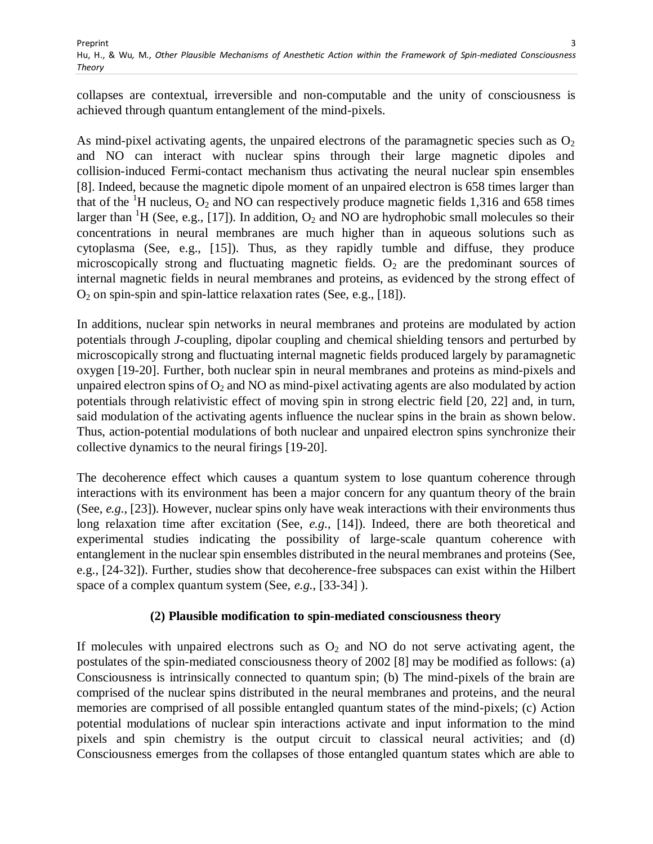collapses are contextual, irreversible and non-computable and the unity of consciousness is achieved through quantum entanglement of the mind-pixels.

As mind-pixel activating agents, the unpaired electrons of the paramagnetic species such as  $O_2$ and NO can interact with nuclear spins through their large magnetic dipoles and collision-induced Fermi-contact mechanism thus activating the neural nuclear spin ensembles [8]. Indeed, because the magnetic dipole moment of an unpaired electron is 658 times larger than that of the  ${}^{1}$ H nucleus, O<sub>2</sub> and NO can respectively produce magnetic fields 1,316 and 658 times larger than <sup>1</sup>H (See, e.g., [17]). In addition,  $O_2$  and NO are hydrophobic small molecules so their concentrations in neural membranes are much higher than in aqueous solutions such as cytoplasma (See, e.g., [15]). Thus, as they rapidly tumble and diffuse, they produce microscopically strong and fluctuating magnetic fields.  $O<sub>2</sub>$  are the predominant sources of internal magnetic fields in neural membranes and proteins, as evidenced by the strong effect of  $O_2$  on spin-spin and spin-lattice relaxation rates (See, e.g., [18]).

In additions, nuclear spin networks in neural membranes and proteins are modulated by action potentials through *J*-coupling, dipolar coupling and chemical shielding tensors and perturbed by microscopically strong and fluctuating internal magnetic fields produced largely by paramagnetic oxygen [19-20]. Further, both nuclear spin in neural membranes and proteins as mind-pixels and unpaired electron spins of  $O_2$  and NO as mind-pixel activating agents are also modulated by action potentials through relativistic effect of moving spin in strong electric field [20, 22] and, in turn, said modulation of the activating agents influence the nuclear spins in the brain as shown below. Thus, action-potential modulations of both nuclear and unpaired electron spins synchronize their collective dynamics to the neural firings [19-20].

The decoherence effect which causes a quantum system to lose quantum coherence through interactions with its environment has been a major concern for any quantum theory of the brain (See, *e.g.*, [23]). However, nuclear spins only have weak interactions with their environments thus long relaxation time after excitation (See, *e.g.*, [14]). Indeed, there are both theoretical and experimental studies indicating the possibility of large-scale quantum coherence with entanglement in the nuclear spin ensembles distributed in the neural membranes and proteins (See, e.g., [24-32]). Further, studies show that decoherence-free subspaces can exist within the Hilbert space of a complex quantum system (See, *e.g.*, [33-34] ).

# **(2) Plausible modification to spin-mediated consciousness theory**

If molecules with unpaired electrons such as  $O_2$  and NO do not serve activating agent, the postulates of the spin-mediated consciousness theory of 2002 [8] may be modified as follows: (a) Consciousness is intrinsically connected to quantum spin; (b) The mind-pixels of the brain are comprised of the nuclear spins distributed in the neural membranes and proteins, and the neural memories are comprised of all possible entangled quantum states of the mind-pixels; (c) Action potential modulations of nuclear spin interactions activate and input information to the mind pixels and spin chemistry is the output circuit to classical neural activities; and (d) Consciousness emerges from the collapses of those entangled quantum states which are able to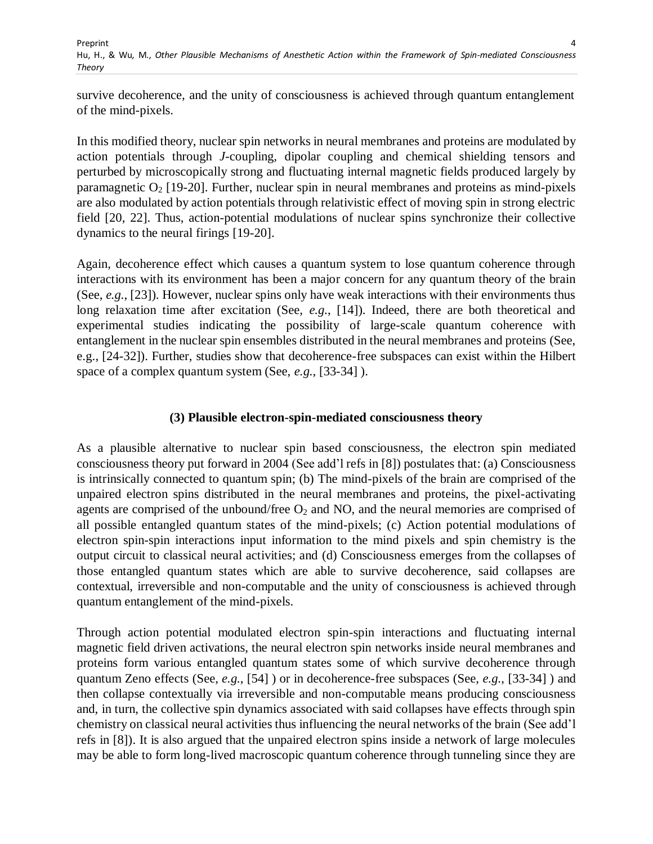survive decoherence, and the unity of consciousness is achieved through quantum entanglement of the mind-pixels.

In this modified theory, nuclear spin networks in neural membranes and proteins are modulated by action potentials through *J*-coupling, dipolar coupling and chemical shielding tensors and perturbed by microscopically strong and fluctuating internal magnetic fields produced largely by paramagnetic  $O_2$  [19-20]. Further, nuclear spin in neural membranes and proteins as mind-pixels are also modulated by action potentials through relativistic effect of moving spin in strong electric field [20, 22]. Thus, action-potential modulations of nuclear spins synchronize their collective dynamics to the neural firings [19-20].

Again, decoherence effect which causes a quantum system to lose quantum coherence through interactions with its environment has been a major concern for any quantum theory of the brain (See, *e.g.*, [23]). However, nuclear spins only have weak interactions with their environments thus long relaxation time after excitation (See, *e.g.*, [14]). Indeed, there are both theoretical and experimental studies indicating the possibility of large-scale quantum coherence with entanglement in the nuclear spin ensembles distributed in the neural membranes and proteins (See, e.g., [24-32]). Further, studies show that decoherence-free subspaces can exist within the Hilbert space of a complex quantum system (See, *e.g.*, [33-34] ).

### **(3) Plausible electron-spin-mediated consciousness theory**

As a plausible alternative to nuclear spin based consciousness, the electron spin mediated consciousness theory put forward in 2004 (See add"l refs in [8]) postulates that: (a) Consciousness is intrinsically connected to quantum spin; (b) The mind-pixels of the brain are comprised of the unpaired electron spins distributed in the neural membranes and proteins, the pixel-activating agents are comprised of the unbound/free  $O_2$  and NO, and the neural memories are comprised of all possible entangled quantum states of the mind-pixels; (c) Action potential modulations of electron spin-spin interactions input information to the mind pixels and spin chemistry is the output circuit to classical neural activities; and (d) Consciousness emerges from the collapses of those entangled quantum states which are able to survive decoherence, said collapses are contextual, irreversible and non-computable and the unity of consciousness is achieved through quantum entanglement of the mind-pixels.

Through action potential modulated electron spin-spin interactions and fluctuating internal magnetic field driven activations, the neural electron spin networks inside neural membranes and proteins form various entangled quantum states some of which survive decoherence through quantum Zeno effects (See, *e.g.*, [54] ) or in decoherence-free subspaces (See, *e.g.*, [33-34] ) and then collapse contextually via irreversible and non-computable means producing consciousness and, in turn, the collective spin dynamics associated with said collapses have effects through spin chemistry on classical neural activities thus influencing the neural networks of the brain (See add"l refs in [8]). It is also argued that the unpaired electron spins inside a network of large molecules may be able to form long-lived macroscopic quantum coherence through tunneling since they are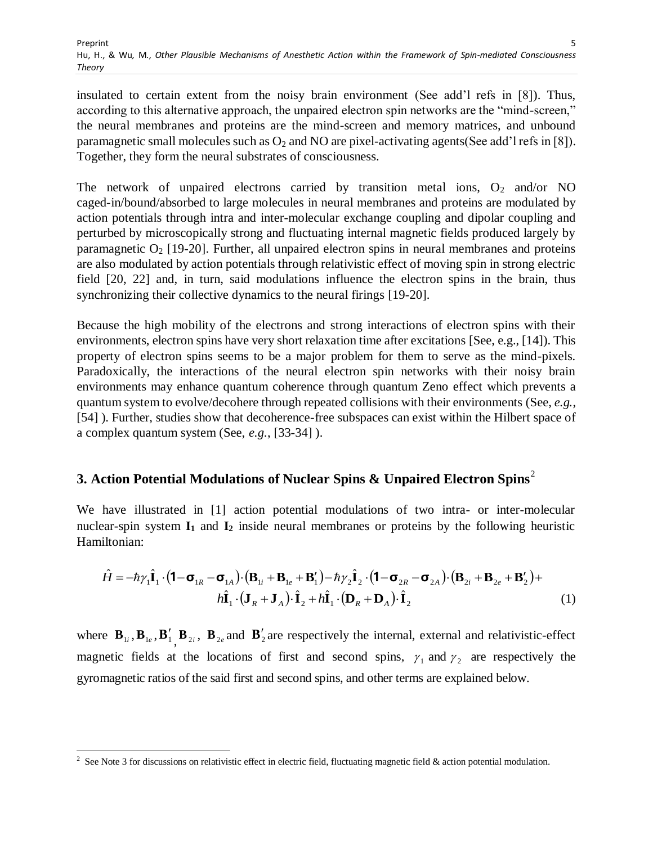insulated to certain extent from the noisy brain environment (See add"l refs in [8]). Thus, according to this alternative approach, the unpaired electron spin networks are the "mind-screen," the neural membranes and proteins are the mind-screen and memory matrices, and unbound paramagnetic small molecules such as  $O_2$  and NO are pixel-activating agents(See add'I refs in [8]). Together, they form the neural substrates of consciousness.

The network of unpaired electrons carried by transition metal ions,  $O_2$  and/or NO caged-in/bound/absorbed to large molecules in neural membranes and proteins are modulated by action potentials through intra and inter-molecular exchange coupling and dipolar coupling and perturbed by microscopically strong and fluctuating internal magnetic fields produced largely by paramagnetic  $O_2$  [19-20]. Further, all unpaired electron spins in neural membranes and proteins are also modulated by action potentials through relativistic effect of moving spin in strong electric field [20, 22] and, in turn, said modulations influence the electron spins in the brain, thus synchronizing their collective dynamics to the neural firings [19-20].

Because the high mobility of the electrons and strong interactions of electron spins with their environments, electron spins have very short relaxation time after excitations [See, e.g., [14]). This property of electron spins seems to be a major problem for them to serve as the mind-pixels. Paradoxically, the interactions of the neural electron spin networks with their noisy brain environments may enhance quantum coherence through quantum Zeno effect which prevents a quantum system to evolve/decohere through repeated collisions with their environments (See, *e.g.*, [54] ). Further, studies show that decoherence-free subspaces can exist within the Hilbert space of a complex quantum system (See, *e.g.*, [33-34] ).

# **3. Action Potential Modulations of Nuclear Spins & Unpaired Electron Spins**<sup>2</sup>

We have illustrated in [1] action potential modulations of two intra- or inter-molecular nuclear-spin system **I<sup>1</sup>** and **I<sup>2</sup>** inside neural membranes or proteins by the following heuristic Hamiltonian:

$$
\hat{H} = -\hbar \gamma_1 \hat{\mathbf{I}}_1 \cdot (\mathbf{1} - \mathbf{\sigma}_{1R} - \mathbf{\sigma}_{1A}) \cdot (\mathbf{B}_{1i} + \mathbf{B}_{1e} + \mathbf{B}'_1) - \hbar \gamma_2 \hat{\mathbf{I}}_2 \cdot (\mathbf{1} - \mathbf{\sigma}_{2R} - \mathbf{\sigma}_{2A}) \cdot (\mathbf{B}_{2i} + \mathbf{B}_{2e} + \mathbf{B}'_2) +
$$
\n
$$
h \hat{\mathbf{I}}_1 \cdot (\mathbf{J}_R + \mathbf{J}_A) \cdot \hat{\mathbf{I}}_2 + h \hat{\mathbf{I}}_1 \cdot (\mathbf{D}_R + \mathbf{D}_A) \cdot \hat{\mathbf{I}}_2 \tag{1}
$$

where  $\mathbf{B}_{1i}$ ,  $\mathbf{B}_{1e}$ ,  $\mathbf{B}_{1i}'$ ,  $\mathbf{B}_{2i}$ ,  $\mathbf{B}_{2e}$  and  $\mathbf{B}_{2i}'$  are respectively the internal, external and relativistic-effect magnetic fields at the locations of first and second spins,  $\gamma_1$  and  $\gamma_2$  are respectively the gyromagnetic ratios of the said first and second spins, and other terms are explained below.

<sup>&</sup>lt;sup>2</sup> See Note 3 for discussions on relativistic effect in electric field, fluctuating magnetic field & action potential modulation.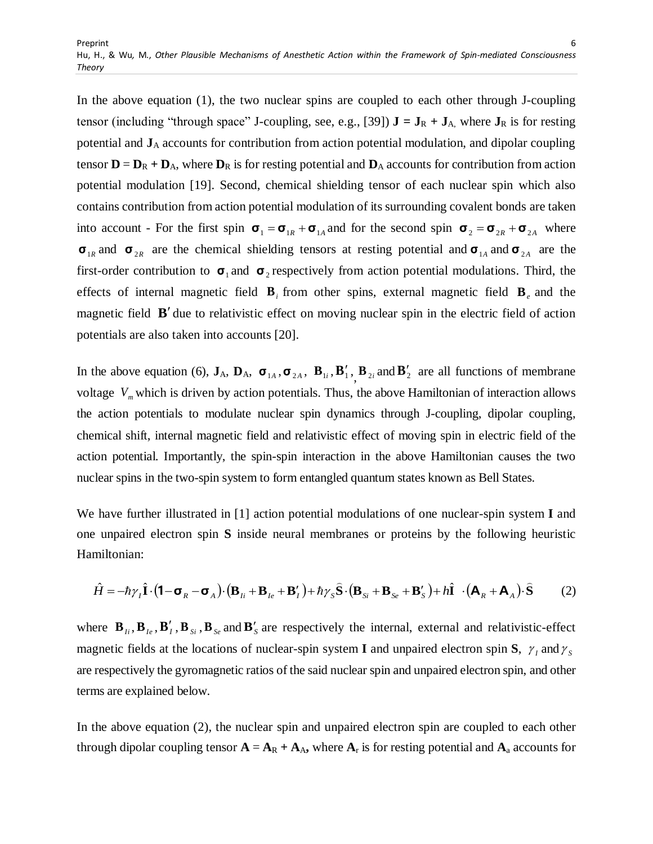In the above equation (1), the two nuclear spins are coupled to each other through J-coupling tensor (including "through space" J-coupling, see, e.g., [39])  $J = J_R + J_A$ , where  $J_R$  is for resting potential and **J**<sup>A</sup> accounts for contribution from action potential modulation, and dipolar coupling tensor  $D = D_R + D_A$ , where  $D_R$  is for resting potential and  $D_A$  accounts for contribution from action potential modulation [19]. Second, chemical shielding tensor of each nuclear spin which also contains contribution from action potential modulation of its surrounding covalent bonds are taken into account - For the first spin  $\sigma_1 = \sigma_{1R} + \sigma_{1A}$  and for the second spin  $\sigma_2 = \sigma_{2R} + \sigma_{2A}$  where  $\sigma_{1R}$  and  $\sigma_{2R}$  are the chemical shielding tensors at resting potential and  $\sigma_{1A}$  and  $\sigma_{2A}$  are the first-order contribution to  $\sigma_1$  and  $\sigma_2$  respectively from action potential modulations. Third, the effects of internal magnetic field  $\mathbf{B}_i$  from other spins, external magnetic field  $\mathbf{B}_e$  and the magnetic field **B**' due to relativistic effect on moving nuclear spin in the electric field of action potentials are also taken into accounts [20].

In the above equation (6),  $J_A$ ,  $D_A$ ,  $\sigma_{1A}$ ,  $\sigma_{2A}$ ,  $B_{1i}$ ,  $B'_{1i}$ ,  $B_{2i}$  and  $B'_2$  are all functions of membrane voltage *Vm* which is driven by action potentials. Thus, the above Hamiltonian of interaction allows the action potentials to modulate nuclear spin dynamics through J-coupling, dipolar coupling, chemical shift, internal magnetic field and relativistic effect of moving spin in electric field of the action potential. Importantly, the spin-spin interaction in the above Hamiltonian causes the two nuclear spins in the two-spin system to form entangled quantum states known as Bell States.

We have further illustrated in [1] action potential modulations of one nuclear-spin system **I** and one unpaired electron spin **S** inside neural membranes or proteins by the following heuristic Hamiltonian:

$$
\hat{H} = -\hbar \gamma_I \hat{\mathbf{I}} \cdot (\mathbf{1} - \mathbf{\sigma}_R - \mathbf{\sigma}_A) \cdot (\mathbf{B}_{Ii} + \mathbf{B}_{Ie} + \mathbf{B}'_I) + \hbar \gamma_S \hat{\mathbf{S}} \cdot (\mathbf{B}_{Si} + \mathbf{B}_{Se} + \mathbf{B}'_S) + h\hat{\mathbf{I}} \cdot (\mathbf{A}_R + \mathbf{A}_A) \cdot \hat{\mathbf{S}}
$$
(2)

where  $\mathbf{B}_{I_i}, \mathbf{B}_{I_e}, \mathbf{B}'_I, \mathbf{B}_{S_i}, \mathbf{B}_{S_e}$  and  $\mathbf{B}'_S$  are respectively the internal, external and relativistic-effect magnetic fields at the locations of nuclear-spin system **I** and unpaired electron spin **S**,  $\gamma_1$  and  $\gamma_5$ are respectively the gyromagnetic ratios of the said nuclear spin and unpaired electron spin, and other terms are explained below.

In the above equation (2), the nuclear spin and unpaired electron spin are coupled to each other through dipolar coupling tensor  $\mathbf{A} = \mathbf{A}_R + \mathbf{A}_A$ , where  $\mathbf{A}_r$  is for resting potential and  $\mathbf{A}_a$  accounts for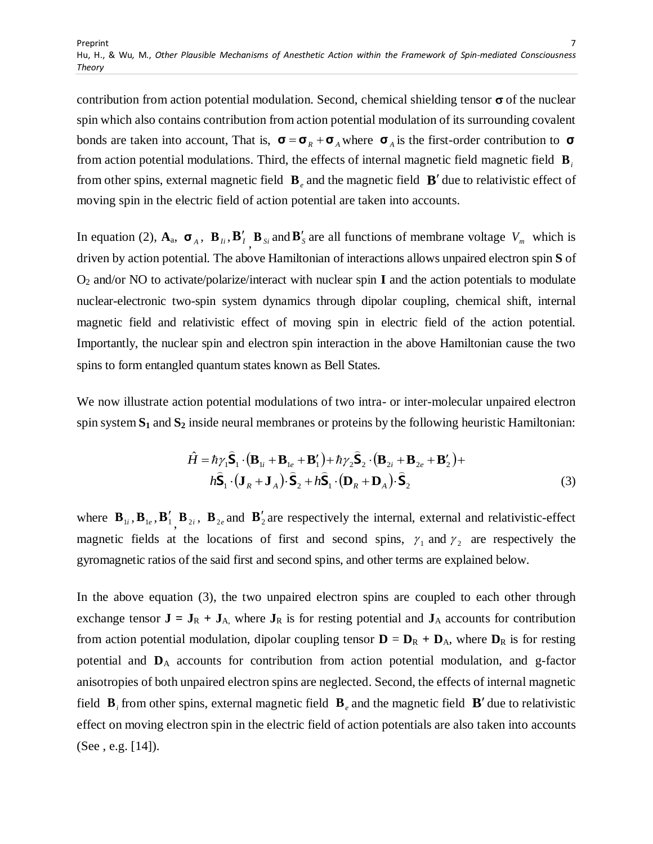contribution from action potential modulation. Second, chemical shielding tensor  $\sigma$  of the nuclear spin which also contains contribution from action potential modulation of its surrounding covalent bonds are taken into account, That is,  $\sigma = \sigma_R + \sigma_A$  where  $\sigma_A$  is the first-order contribution to  $\sigma$ from action potential modulations. Third, the effects of internal magnetic field magnetic field **B***i* from other spins, external magnetic field  $\mathbf{B}_e$  and the magnetic field  $\mathbf{B}'$  due to relativistic effect of moving spin in the electric field of action potential are taken into accounts.

In equation (2),  $\mathbf{A}_a$ ,  $\mathbf{\sigma}_A$ ,  $\mathbf{B}_{I_i}$ ,  $\mathbf{B}_{I_j}$ ,  $\mathbf{B}_{S_i}$  and  $\mathbf{B}_{S_i}$  are all functions of membrane voltage  $V_m$  which is driven by action potential. The above Hamiltonian of interactions allows unpaired electron spin **S** of O<sup>2</sup> and/or NO to activate/polarize/interact with nuclear spin **I** and the action potentials to modulate nuclear-electronic two-spin system dynamics through dipolar coupling, chemical shift, internal magnetic field and relativistic effect of moving spin in electric field of the action potential. Importantly, the nuclear spin and electron spin interaction in the above Hamiltonian cause the two spins to form entangled quantum states known as Bell States.

We now illustrate action potential modulations of two intra- or inter-molecular unpaired electron spin system **S<sup>1</sup>** and **S<sup>2</sup>** inside neural membranes or proteins by the following heuristic Hamiltonian:

$$
\hat{H} = \hbar \gamma_1 \hat{\mathbf{S}}_1 \cdot (\mathbf{B}_{1i} + \mathbf{B}_{1e} + \mathbf{B}'_1) + \hbar \gamma_2 \hat{\mathbf{S}}_2 \cdot (\mathbf{B}_{2i} + \mathbf{B}_{2e} + \mathbf{B}'_2) + \n\hbar \hat{\mathbf{S}}_1 \cdot (\mathbf{J}_R + \mathbf{J}_A) \cdot \hat{\mathbf{S}}_2 + \hbar \hat{\mathbf{S}}_1 \cdot (\mathbf{D}_R + \mathbf{D}_A) \cdot \hat{\mathbf{S}}_2
$$
\n(3)

where  $\mathbf{B}_{1i}$ ,  $\mathbf{B}_{1e}$ ,  $\mathbf{B}_{1i}'$ ,  $\mathbf{B}_{2i}$ ,  $\mathbf{B}_{2e}$  and  $\mathbf{B}_{2i}'$  are respectively the internal, external and relativistic-effect magnetic fields at the locations of first and second spins,  $\gamma_1$  and  $\gamma_2$  are respectively the gyromagnetic ratios of the said first and second spins, and other terms are explained below.

In the above equation (3), the two unpaired electron spins are coupled to each other through exchange tensor  $J = J_R + J_A$ , where  $J_R$  is for resting potential and  $J_A$  accounts for contribution from action potential modulation, dipolar coupling tensor  $\mathbf{D} = \mathbf{D}_R + \mathbf{D}_A$ , where  $\mathbf{D}_R$  is for resting potential and **D**<sup>A</sup> accounts for contribution from action potential modulation, and g-factor anisotropies of both unpaired electron spins are neglected. Second, the effects of internal magnetic field  $\mathbf{B}_i$  from other spins, external magnetic field  $\mathbf{B}_e$  and the magnetic field  $\mathbf{B}'$  due to relativistic effect on moving electron spin in the electric field of action potentials are also taken into accounts (See , e.g. [14]).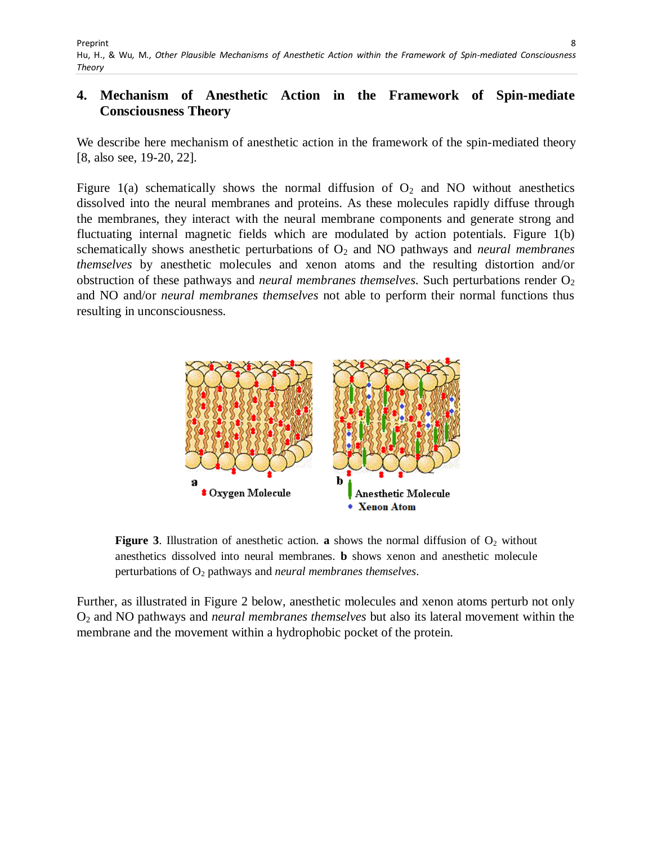# **4. Mechanism of Anesthetic Action in the Framework of Spin-mediate Consciousness Theory**

We describe here mechanism of anesthetic action in the framework of the spin-mediated theory [8, also see, 19-20, 22].

Figure 1(a) schematically shows the normal diffusion of  $O_2$  and NO without anesthetics dissolved into the neural membranes and proteins. As these molecules rapidly diffuse through the membranes, they interact with the neural membrane components and generate strong and fluctuating internal magnetic fields which are modulated by action potentials. Figure 1(b) schematically shows anesthetic perturbations of  $O_2$  and NO pathways and *neural membranes themselves* by anesthetic molecules and xenon atoms and the resulting distortion and/or obstruction of these pathways and *neural membranes themselves*. Such perturbations render O<sub>2</sub> and NO and/or *neural membranes themselves* not able to perform their normal functions thus resulting in unconsciousness.



**Figure 3.** Illustration of anesthetic action. **a** shows the normal diffusion of  $O<sub>2</sub>$  without anesthetics dissolved into neural membranes. **b** shows xenon and anesthetic molecule perturbations of O<sup>2</sup> pathways and *neural membranes themselves*.

Further, as illustrated in Figure 2 below, anesthetic molecules and xenon atoms perturb not only O<sup>2</sup> and NO pathways and *neural membranes themselves* but also its lateral movement within the membrane and the movement within a hydrophobic pocket of the protein.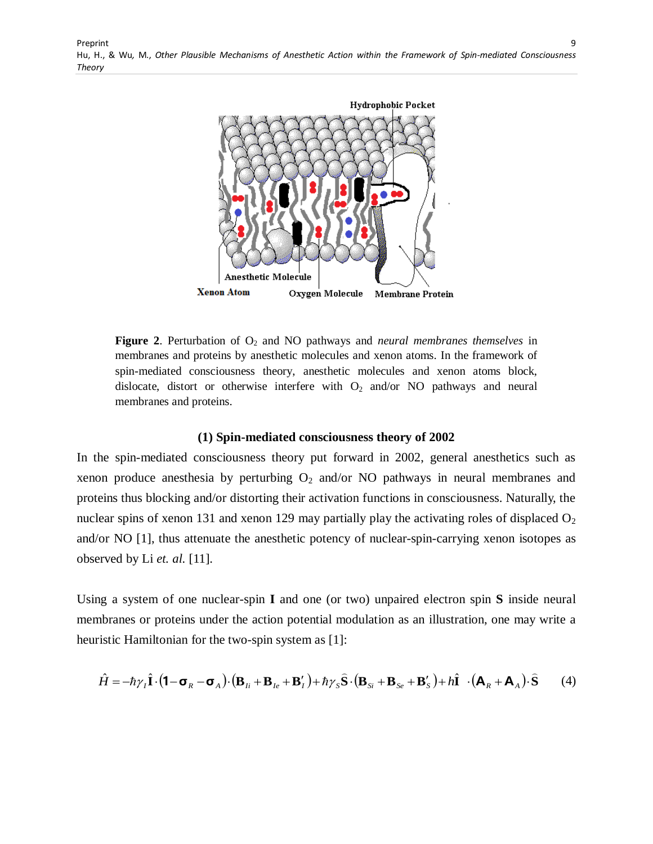Preprint Hu, H., & Wu*,* M., *Other Plausible Mechanisms of Anesthetic Action within the Framework of Spin-mediated Consciousness Theory* 9



**Figure 2.** Perturbation of  $O_2$  and NO pathways and *neural membranes themselves* in membranes and proteins by anesthetic molecules and xenon atoms. In the framework of spin-mediated consciousness theory, anesthetic molecules and xenon atoms block, dislocate, distort or otherwise interfere with  $O_2$  and/or NO pathways and neural membranes and proteins.

#### **(1) Spin-mediated consciousness theory of 2002**

In the spin-mediated consciousness theory put forward in 2002, general anesthetics such as xenon produce anesthesia by perturbing  $O_2$  and/or NO pathways in neural membranes and proteins thus blocking and/or distorting their activation functions in consciousness. Naturally, the nuclear spins of xenon 131 and xenon 129 may partially play the activating roles of displaced  $O_2$ and/or NO [1], thus attenuate the anesthetic potency of nuclear-spin-carrying xenon isotopes as observed by Li *et. al.* [11].

Using a system of one nuclear-spin **I** and one (or two) unpaired electron spin **S** inside neural membranes or proteins under the action potential modulation as an illustration, one may write a heuristic Hamiltonian for the two-spin system as [1]:

$$
\hat{H} = -\hbar \gamma_I \hat{\mathbf{I}} \cdot (\mathbf{1} - \mathbf{\sigma}_R - \mathbf{\sigma}_A) \cdot (\mathbf{B}_{Ii} + \mathbf{B}_{Ie} + \mathbf{B}'_I) + \hbar \gamma_S \hat{\mathbf{S}} \cdot (\mathbf{B}_{Si} + \mathbf{B}_{Se} + \mathbf{B}'_S) + h\hat{\mathbf{I}} \cdot (\mathbf{A}_R + \mathbf{A}_A) \cdot \hat{\mathbf{S}} \tag{4}
$$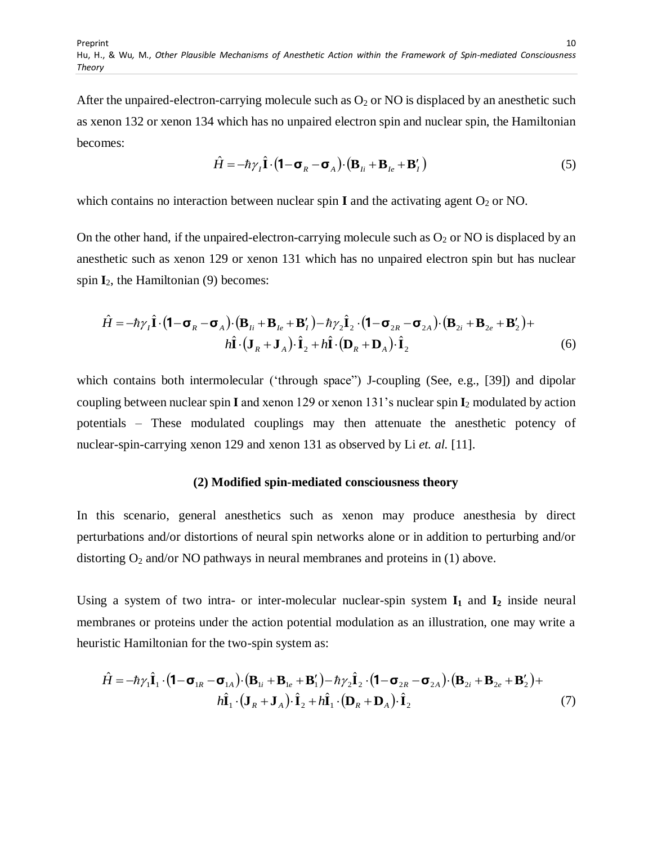After the unpaired-electron-carrying molecule such as  $O_2$  or NO is displaced by an anesthetic such as xenon 132 or xenon 134 which has no unpaired electron spin and nuclear spin, the Hamiltonian becomes:

$$
\hat{H} = -\hbar \gamma_I \hat{\mathbf{I}} \cdot (\mathbf{1} - \mathbf{\sigma}_R - \mathbf{\sigma}_A) \cdot (\mathbf{B}_{Ii} + \mathbf{B}_{Ie} + \mathbf{B}'_I)
$$
\n(5)

which contains no interaction between nuclear spin **I** and the activating agent  $O_2$  or NO.

On the other hand, if the unpaired-electron-carrying molecule such as  $O_2$  or NO is displaced by an anesthetic such as xenon 129 or xenon 131 which has no unpaired electron spin but has nuclear spin  $I_2$ , the Hamiltonian (9) becomes:

$$
\hat{H} = -\hbar \gamma_I \hat{\mathbf{I}} \cdot (\mathbf{1} - \mathbf{\sigma}_R - \mathbf{\sigma}_A) \cdot (\mathbf{B}_{Ii} + \mathbf{B}_{Ie} + \mathbf{B}'_I) - \hbar \gamma_2 \hat{\mathbf{I}}_2 \cdot (\mathbf{1} - \mathbf{\sigma}_{2R} - \mathbf{\sigma}_{2A}) \cdot (\mathbf{B}_{2i} + \mathbf{B}_{2e} + \mathbf{B}'_2) +
$$
\n
$$
h \hat{\mathbf{I}} \cdot (\mathbf{J}_R + \mathbf{J}_A) \cdot \hat{\mathbf{I}}_2 + h \hat{\mathbf{I}} \cdot (\mathbf{D}_R + \mathbf{D}_A) \cdot \hat{\mathbf{I}}_2 \tag{6}
$$

which contains both intermolecular ('through space'') J-coupling (See, e.g., [39]) and dipolar coupling between nuclear spin **I** and xenon 129 or xenon 131"s nuclear spin **I**<sup>2</sup> modulated by action potentials – These modulated couplings may then attenuate the anesthetic potency of nuclear-spin-carrying xenon 129 and xenon 131 as observed by Li *et. al.* [11].

#### **(2) Modified spin-mediated consciousness theory**

In this scenario, general anesthetics such as xenon may produce anesthesia by direct perturbations and/or distortions of neural spin networks alone or in addition to perturbing and/or distorting  $O_2$  and/or NO pathways in neural membranes and proteins in (1) above.

Using a system of two intra- or inter-molecular nuclear-spin system  $I_1$  and  $I_2$  inside neural membranes or proteins under the action potential modulation as an illustration, one may write a heuristic Hamiltonian for the two-spin system as:

$$
\hat{H} = -\hbar \gamma_1 \hat{\mathbf{I}}_1 \cdot (\mathbf{1} - \mathbf{\sigma}_{1R} - \mathbf{\sigma}_{1A}) \cdot (\mathbf{B}_{1i} + \mathbf{B}_{1e} + \mathbf{B}'_1) - \hbar \gamma_2 \hat{\mathbf{I}}_2 \cdot (\mathbf{1} - \mathbf{\sigma}_{2R} - \mathbf{\sigma}_{2A}) \cdot (\mathbf{B}_{2i} + \mathbf{B}_{2e} + \mathbf{B}'_2) +
$$
\n
$$
h \hat{\mathbf{I}}_1 \cdot (\mathbf{J}_R + \mathbf{J}_A) \cdot \hat{\mathbf{I}}_2 + h \hat{\mathbf{I}}_1 \cdot (\mathbf{D}_R + \mathbf{D}_A) \cdot \hat{\mathbf{I}}_2 \tag{7}
$$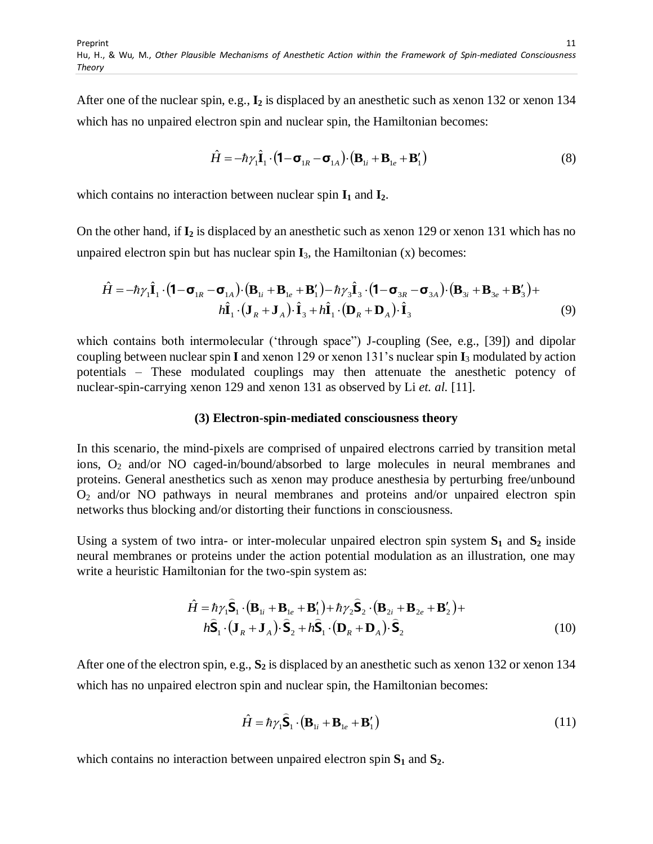After one of the nuclear spin, e.g., **I<sup>2</sup>** is displaced by an anesthetic such as xenon 132 or xenon 134 which has no unpaired electron spin and nuclear spin, the Hamiltonian becomes:

$$
\hat{H} = -\hbar \gamma_1 \hat{\mathbf{I}}_1 \cdot (\mathbf{1} - \mathbf{\sigma}_{1R} - \mathbf{\sigma}_{1A}) \cdot (\mathbf{B}_{1i} + \mathbf{B}_{1e} + \mathbf{B}'_1)
$$
\n(8)

which contains no interaction between nuclear spin **I<sup>1</sup>** and **I2**.

On the other hand, if **I<sup>2</sup>** is displaced by an anesthetic such as xenon 129 or xenon 131 which has no unpaired electron spin but has nuclear spin  $I_3$ , the Hamiltonian  $(x)$  becomes:

$$
\hat{H} = -\hbar \gamma_1 \hat{\mathbf{I}}_1 \cdot (\mathbf{1} - \mathbf{\sigma}_{1R} - \mathbf{\sigma}_{1A}) \cdot (\mathbf{B}_{1i} + \mathbf{B}_{1e} + \mathbf{B}'_1) - \hbar \gamma_3 \hat{\mathbf{I}}_3 \cdot (\mathbf{1} - \mathbf{\sigma}_{3R} - \mathbf{\sigma}_{3A}) \cdot (\mathbf{B}_{3i} + \mathbf{B}_{3e} + \mathbf{B}'_3) +
$$
\n
$$
h \hat{\mathbf{I}}_1 \cdot (\mathbf{J}_R + \mathbf{J}_A) \cdot \hat{\mathbf{I}}_3 + h \hat{\mathbf{I}}_1 \cdot (\mathbf{D}_R + \mathbf{D}_A) \cdot \hat{\mathbf{I}}_3 \tag{9}
$$

which contains both intermolecular ('through space'') J-coupling (See, e.g., [39]) and dipolar coupling between nuclear spin **I** and xenon 129 or xenon 131"s nuclear spin **I**<sup>3</sup> modulated by action potentials – These modulated couplings may then attenuate the anesthetic potency of nuclear-spin-carrying xenon 129 and xenon 131 as observed by Li *et. al.* [11].

#### **(3) Electron-spin-mediated consciousness theory**

In this scenario, the mind-pixels are comprised of unpaired electrons carried by transition metal ions, O<sub>2</sub> and/or NO caged-in/bound/absorbed to large molecules in neural membranes and proteins. General anesthetics such as xenon may produce anesthesia by perturbing free/unbound  $O<sub>2</sub>$  and/or NO pathways in neural membranes and proteins and/or unpaired electron spin networks thus blocking and/or distorting their functions in consciousness.

Using a system of two intra- or inter-molecular unpaired electron spin system **S<sup>1</sup>** and **S<sup>2</sup>** inside neural membranes or proteins under the action potential modulation as an illustration, one may write a heuristic Hamiltonian for the two-spin system as:

$$
\hat{H} = \hbar \gamma_1 \hat{\mathbf{S}}_1 \cdot (\mathbf{B}_{1i} + \mathbf{B}_{1e} + \mathbf{B}'_1) + \hbar \gamma_2 \hat{\mathbf{S}}_2 \cdot (\mathbf{B}_{2i} + \mathbf{B}_{2e} + \mathbf{B}'_2) + \hbar \hat{\mathbf{S}}_1 \cdot (\mathbf{J}_R + \mathbf{J}_A) \cdot \hat{\mathbf{S}}_2 + \hbar \hat{\mathbf{S}}_1 \cdot (\mathbf{D}_R + \mathbf{D}_A) \cdot \hat{\mathbf{S}}_2
$$
\n(10)

After one of the electron spin, e.g., **S<sup>2</sup>** is displaced by an anesthetic such as xenon 132 or xenon 134 which has no unpaired electron spin and nuclear spin, the Hamiltonian becomes:

$$
\hat{H} = \hbar \gamma_1 \hat{\mathbf{S}}_1 \cdot (\mathbf{B}_{1i} + \mathbf{B}_{1e} + \mathbf{B}'_1)
$$
\n(11)

which contains no interaction between unpaired electron spin  $S_1$  and  $S_2$ .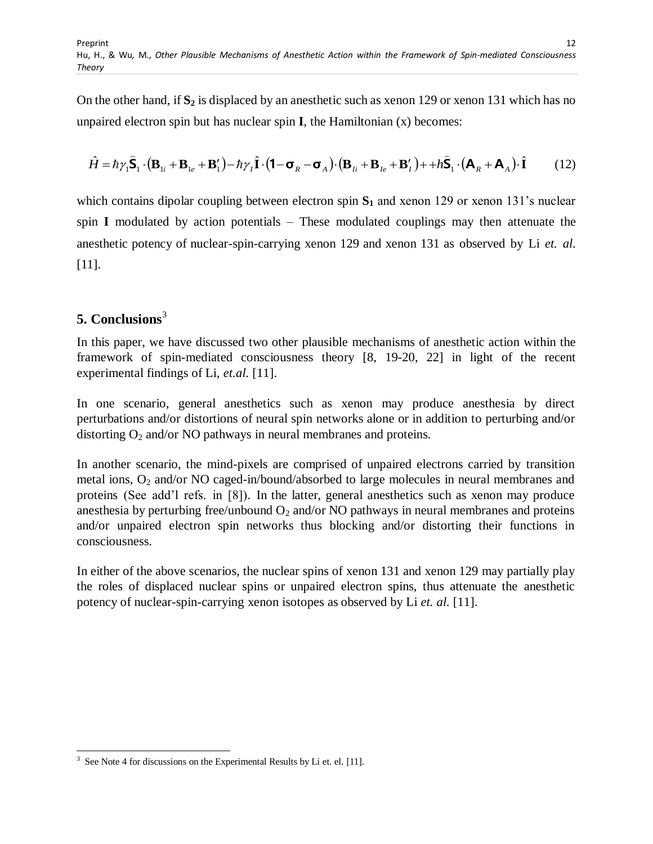On the other hand, if **S<sup>2</sup>** is displaced by an anesthetic such as xenon 129 or xenon 131 which has no unpaired electron spin but has nuclear spin **I**, the Hamiltonian (x) becomes:

$$
\hat{H} = \hbar \gamma_1 \hat{\mathbf{S}}_1 \cdot (\mathbf{B}_{1i} + \mathbf{B}_{1e} + \mathbf{B}'_1) - \hbar \gamma_1 \hat{\mathbf{I}} \cdot (\mathbf{1} - \mathbf{\sigma}_R - \mathbf{\sigma}_A) \cdot (\mathbf{B}_{1i} + \mathbf{B}_{1e} + \mathbf{B}'_1) + + h \hat{\mathbf{S}}_1 \cdot (\mathbf{A}_R + \mathbf{A}_A) \cdot \hat{\mathbf{I}} \tag{12}
$$

which contains dipolar coupling between electron spin  $S_1$  and xenon 129 or xenon 131's nuclear spin **I** modulated by action potentials – These modulated couplings may then attenuate the anesthetic potency of nuclear-spin-carrying xenon 129 and xenon 131 as observed by Li *et. al.* [11].

# **5. Conclusions**<sup>3</sup>

In this paper, we have discussed two other plausible mechanisms of anesthetic action within the framework of spin-mediated consciousness theory [8, 19-20, 22] in light of the recent experimental findings of Li, *et.al.* [11].

In one scenario, general anesthetics such as xenon may produce anesthesia by direct perturbations and/or distortions of neural spin networks alone or in addition to perturbing and/or distorting  $O_2$  and/or NO pathways in neural membranes and proteins.

In another scenario, the mind-pixels are comprised of unpaired electrons carried by transition metal ions, O<sup>2</sup> and/or NO caged-in/bound/absorbed to large molecules in neural membranes and proteins (See add"l refs. in [8]). In the latter, general anesthetics such as xenon may produce anesthesia by perturbing free/unbound  $O_2$  and/or NO pathways in neural membranes and proteins and/or unpaired electron spin networks thus blocking and/or distorting their functions in consciousness.

In either of the above scenarios, the nuclear spins of xenon 131 and xenon 129 may partially play the roles of displaced nuclear spins or unpaired electron spins, thus attenuate the anesthetic potency of nuclear-spin-carrying xenon isotopes as observed by Li *et. al.* [11].

 $\overline{a}$  $3\text{ See Note 4 for discussions on the Experimental Results by Li et. el. [11].}$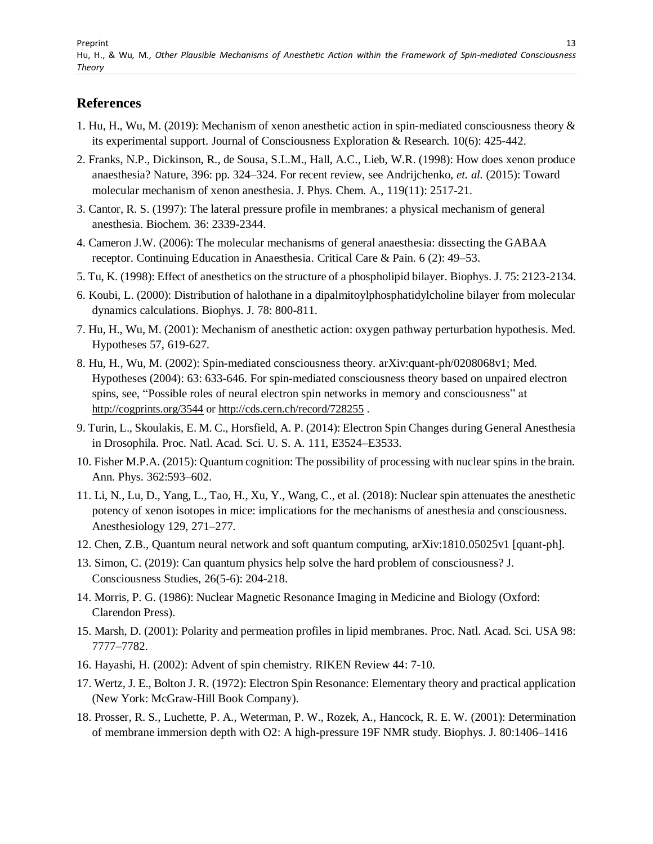### **References**

- 1. Hu, H., Wu, M. (2019): Mechanism of xenon anesthetic action in spin-mediated consciousness theory & its experimental support. Journal of Consciousness Exploration & Research. 10(6): 425-442.
- 2. Franks, N.P., Dickinson, R., de Sousa, S.L.M., Hall, A.C., Lieb, W.R. (1998): How does xenon produce anaesthesia? Nature, 396: pp. 324–324. For recent review, see Andrijchenko, *et. al.* (2015): Toward molecular mechanism of xenon anesthesia. J. Phys. Chem. A., 119(11): 2517-21.
- 3. Cantor, R. S. (1997): The lateral pressure profile in membranes: a physical mechanism of general anesthesia. Biochem. 36: 2339-2344.
- 4. Cameron J.W. (2006): The molecular mechanisms of general anaesthesia: dissecting the GABAA receptor. Continuing Education in Anaesthesia. Critical Care & Pain. 6 (2): 49–53.
- 5. Tu, K. (1998): Effect of anesthetics on the structure of a phospholipid bilayer. Biophys. J. 75: 2123-2134.
- 6. Koubi, L. (2000): Distribution of halothane in a dipalmitoylphosphatidylcholine bilayer from molecular dynamics calculations. Biophys. J. 78: 800-811.
- 7. Hu, H., Wu, M. (2001): Mechanism of anesthetic action: oxygen pathway perturbation hypothesis. Med. Hypotheses 57, 619-627.
- 8. Hu, H., Wu, M. (2002): Spin-mediated consciousness theory. arXiv:quant-ph/0208068v1; Med. Hypotheses (2004): 63: 633-646. For spin-mediated consciousness theory based on unpaired electron spins, see, "Possible roles of neural electron spin networks in memory and consciousness" at <http://cogprints.org/3544> or <http://cds.cern.ch/record/728255>.
- 9. Turin, L., Skoulakis, E. M. C., Horsfield, A. P. (2014): Electron Spin Changes during General Anesthesia in Drosophila. Proc. Natl. Acad. Sci. U. S. A. 111, E3524–E3533.
- 10. Fisher M.P.A. (2015): Quantum cognition: The possibility of processing with nuclear spins in the brain. Ann. Phys. 362:593–602.
- 11. Li, N., Lu, D., Yang, L., Tao, H., Xu, Y., Wang, C., et al. (2018): Nuclear spin attenuates the anesthetic potency of xenon isotopes in mice: implications for the mechanisms of anesthesia and consciousness. Anesthesiology 129, 271–277.
- 12. Chen, Z.B., Quantum neural network and soft quantum computing, arXiv:1810.05025v1 [quant-ph].
- 13. Simon, C. (2019): Can quantum physics help solve the hard problem of consciousness? J. Consciousness Studies, 26(5-6): 204-218.
- 14. Morris, P. G. (1986): Nuclear Magnetic Resonance Imaging in Medicine and Biology (Oxford: Clarendon Press).
- 15. Marsh, D. (2001): Polarity and permeation profiles in lipid membranes. Proc. Natl. Acad. Sci. USA 98: 7777–7782.
- 16. Hayashi, H. (2002): Advent of spin chemistry. RIKEN Review 44: 7-10.
- 17. Wertz, J. E., Bolton J. R. (1972): Electron Spin Resonance: Elementary theory and practical application (New York: McGraw-Hill Book Company).
- 18. Prosser, R. S., Luchette, P. A., Weterman, P. W., Rozek, A., Hancock, R. E. W. (2001): Determination of membrane immersion depth with O2: A high-pressure 19F NMR study. Biophys. J. 80:1406–1416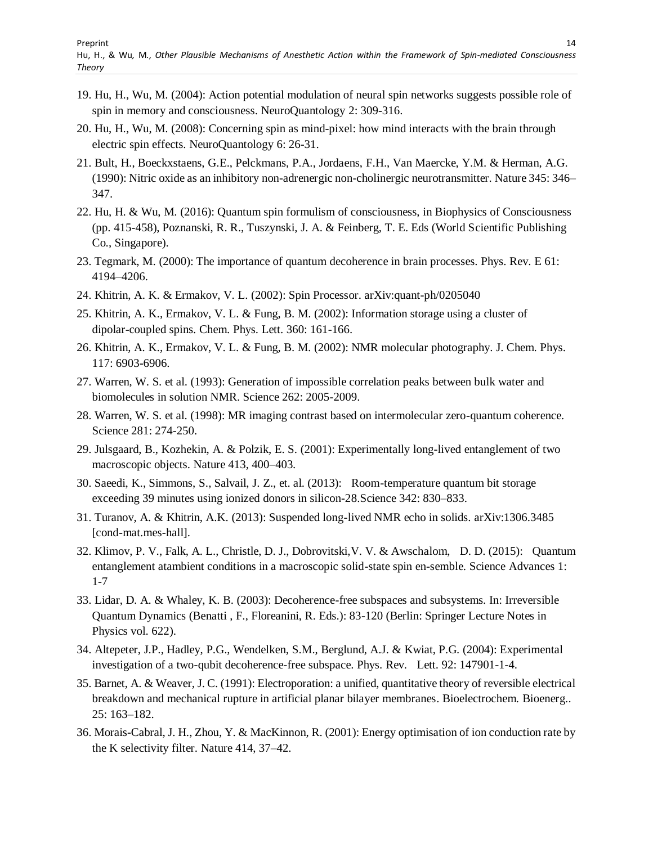- 19. Hu, H., Wu, M. (2004): Action potential modulation of neural spin networks suggests possible role of spin in memory and consciousness. NeuroQuantology 2: 309-316.
- 20. Hu, H., Wu, M. (2008): Concerning spin as mind-pixel: how mind interacts with the brain through electric spin effects. NeuroQuantology 6: 26-31.
- 21. Bult, H., Boeckxstaens, G.E., Pelckmans, P.A., Jordaens, F.H., Van Maercke, Y.M. & Herman, A.G. (1990): Nitric oxide as an inhibitory non-adrenergic non-cholinergic neurotransmitter. Nature 345: 346– 347.
- 22. Hu, H. & Wu, M. (2016): Quantum spin formulism of consciousness, in Biophysics of Consciousness (pp. 415-458), Poznanski, R. R., Tuszynski, J. A. & Feinberg, T. E. Eds (World Scientific Publishing Co., Singapore).
- 23. Tegmark, M. (2000): The importance of quantum decoherence in brain processes. Phys. Rev. E 61: 4194–4206.
- 24. Khitrin, A. K. & Ermakov, V. L. (2002): Spin Processor. arXiv:quant-ph/0205040
- 25. Khitrin, A. K., Ermakov, V. L. & Fung, B. M. (2002): Information storage using a cluster of dipolar-coupled spins. Chem. Phys. Lett. 360: 161-166.
- 26. Khitrin, A. K., Ermakov, V. L. & Fung, B. M. (2002): NMR molecular photography. J. Chem. Phys. 117: 6903-6906.
- 27. Warren, W. S. et al. (1993): Generation of impossible correlation peaks between bulk water and biomolecules in solution NMR. Science 262: 2005-2009.
- 28. Warren, W. S. et al. (1998): MR imaging contrast based on intermolecular zero-quantum coherence. Science 281: 274-250.
- 29. Julsgaard, B., Kozhekin, A. & Polzik, E. S. (2001): Experimentally long-lived entanglement of two macroscopic objects. Nature 413, 400–403.
- 30. Saeedi, K., Simmons, S., Salvail, J. Z., et. al. (2013): Room-temperature quantum bit storage exceeding 39 minutes using ionized donors in silicon-28.Science 342: 830–833.
- 31. Turanov, A. & Khitrin, A.K. (2013): Suspended long-lived NMR echo in solids. arXiv:1306.3485 [cond-mat.mes-hall].
- 32. Klimov, P. V., Falk, A. L., Christle, D. J., Dobrovitski,V. V. & Awschalom, D. D. (2015): Quantum entanglement atambient conditions in a macroscopic solid-state spin en-semble. Science Advances 1: 1-7
- 33. Lidar, D. A. & Whaley, K. B. (2003): Decoherence-free subspaces and subsystems. In: Irreversible Quantum Dynamics (Benatti , F., Floreanini, R. Eds.): 83-120 (Berlin: Springer Lecture Notes in Physics vol. 622).
- 34. Altepeter, J.P., Hadley, P.G., Wendelken, S.M., Berglund, A.J. & Kwiat, P.G. (2004): Experimental investigation of a two-qubit decoherence-free subspace. Phys. Rev. Lett. 92: 147901-1-4.
- 35. Barnet, A. & Weaver, J. C. (1991): Electroporation: a unified, quantitative theory of reversible electrical breakdown and mechanical rupture in artificial planar bilayer membranes. Bioelectrochem. Bioenerg.. 25: 163–182.
- 36. Morais-Cabral, J. H., Zhou, Y. & MacKinnon, R. (2001): Energy optimisation of ion conduction rate by the K selectivity filter. Nature 414, 37–42.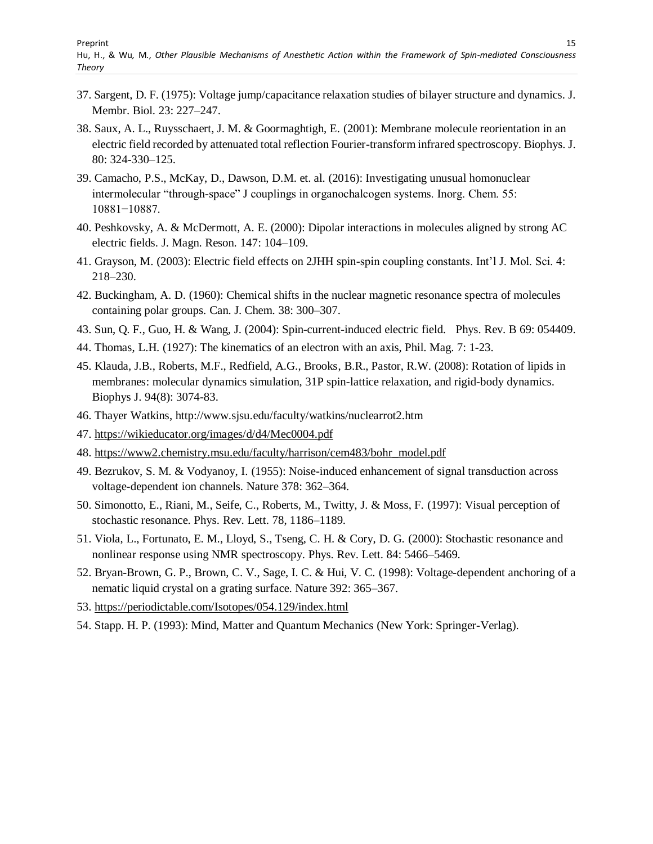- 37. Sargent, D. F. (1975): Voltage jump/capacitance relaxation studies of bilayer structure and dynamics. J. Membr. Biol. 23: 227–247.
- 38. Saux, A. L., Ruysschaert, J. M. & Goormaghtigh, E. (2001): Membrane molecule reorientation in an electric field recorded by attenuated total reflection Fourier-transform infrared spectroscopy. Biophys. J. 80: 324-330–125.
- 39. Camacho, P.S., McKay, D., Dawson, D.M. et. al. (2016): Investigating unusual homonuclear intermolecular "through-space" J couplings in organochalcogen systems. Inorg. Chem. 55: 10881−10887.
- 40. Peshkovsky, A. & McDermott, A. E. (2000): Dipolar interactions in molecules aligned by strong AC electric fields. J. Magn. Reson. 147: 104–109.
- 41. Grayson, M. (2003): Electric field effects on 2JHH spin-spin coupling constants. Int"l J. Mol. Sci. 4: 218–230.
- 42. Buckingham, A. D. (1960): Chemical shifts in the nuclear magnetic resonance spectra of molecules containing polar groups. Can. J. Chem. 38: 300–307.
- 43. Sun, Q. F., Guo, H. & Wang, J. (2004): Spin-current-induced electric field. Phys. Rev. B 69: 054409.
- 44. Thomas, L.H. (1927): The kinematics of an electron with an axis, Phil. Mag. 7: 1-23.
- 45. Klauda, J.B., Roberts, M.F., Redfield, A.G., Brooks, B.R., Pastor, R.W. (2008): Rotation of lipids in membranes: molecular dynamics simulation, 31P spin-lattice relaxation, and rigid-body dynamics. Biophys J. 94(8): 3074-83.
- 46. Thayer Watkins, http://www.sjsu.edu/faculty/watkins/nuclearrot2.htm
- 47.<https://wikieducator.org/images/d/d4/Mec0004.pdf>
- 48. [https://www2.chemistry.msu.edu/faculty/harrison/cem483/bohr\\_model.pdf](https://www2.chemistry.msu.edu/faculty/harrison/cem483/bohr_model.pdf)
- 49. Bezrukov, S. M. & Vodyanoy, I. (1955): Noise-induced enhancement of signal transduction across voltage-dependent ion channels. Nature 378: 362–364.
- 50. Simonotto, E., Riani, M., Seife, C., Roberts, M., Twitty, J. & Moss, F. (1997): Visual perception of stochastic resonance. Phys. Rev. Lett. 78, 1186–1189.
- 51. Viola, L., Fortunato, E. M., Lloyd, S., Tseng, C. H. & Cory, D. G. (2000): Stochastic resonance and nonlinear response using NMR spectroscopy. Phys. Rev. Lett. 84: 5466–5469.
- 52. Bryan-Brown, G. P., Brown, C. V., Sage, I. C. & Hui, V. C. (1998): Voltage-dependent anchoring of a nematic liquid crystal on a grating surface. Nature 392: 365–367.
- 53.<https://periodictable.com/Isotopes/054.129/index.html>
- 54. Stapp. H. P. (1993): Mind, Matter and Quantum Mechanics (New York: Springer-Verlag).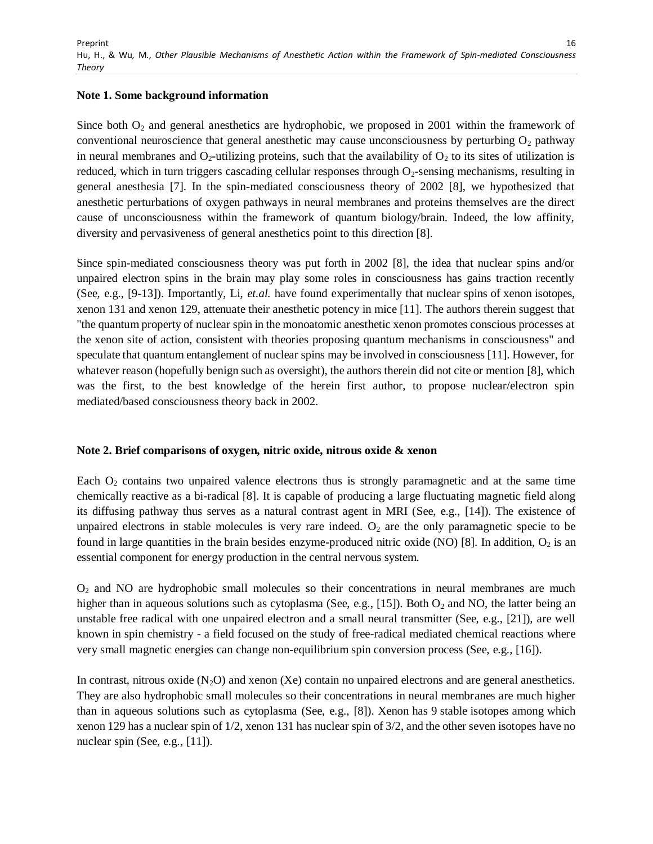#### **Note 1. Some background information**

Since both  $O_2$  and general anesthetics are hydrophobic, we proposed in 2001 within the framework of conventional neuroscience that general anesthetic may cause unconsciousness by perturbing  $O_2$  pathway in neural membranes and  $O_2$ -utilizing proteins, such that the availability of  $O_2$  to its sites of utilization is reduced, which in turn triggers cascading cellular responses through O<sub>2</sub>-sensing mechanisms, resulting in general anesthesia [7]. In the spin-mediated consciousness theory of 2002 [8], we hypothesized that anesthetic perturbations of oxygen pathways in neural membranes and proteins themselves are the direct cause of unconsciousness within the framework of quantum biology/brain. Indeed, the low affinity, diversity and pervasiveness of general anesthetics point to this direction [8].

Since spin-mediated consciousness theory was put forth in 2002 [8], the idea that nuclear spins and/or unpaired electron spins in the brain may play some roles in consciousness has gains traction recently (See, e.g., [9-13]). Importantly, Li, *et.al.* have found experimentally that nuclear spins of xenon isotopes, xenon 131 and xenon 129, attenuate their anesthetic potency in mice [11]. The authors therein suggest that "the quantum property of nuclear spin in the monoatomic anesthetic xenon promotes conscious processes at the xenon site of action, consistent with theories proposing quantum mechanisms in consciousness" and speculate that quantum entanglement of nuclear spins may be involved in consciousness [11]. However, for whatever reason (hopefully benign such as oversight), the authors therein did not cite or mention [8], which was the first, to the best knowledge of the herein first author, to propose nuclear/electron spin mediated/based consciousness theory back in 2002.

#### **Note 2. Brief comparisons of oxygen, nitric oxide, nitrous oxide & xenon**

Each  $O<sub>2</sub>$  contains two unpaired valence electrons thus is strongly paramagnetic and at the same time chemically reactive as a bi-radical [8]. It is capable of producing a large fluctuating magnetic field along its diffusing pathway thus serves as a natural contrast agent in MRI (See, e.g., [14]). The existence of unpaired electrons in stable molecules is very rare indeed.  $O_2$  are the only paramagnetic specie to be found in large quantities in the brain besides enzyme-produced nitric oxide (NO) [8]. In addition,  $O_2$  is an essential component for energy production in the central nervous system.

 $O<sub>2</sub>$  and NO are hydrophobic small molecules so their concentrations in neural membranes are much higher than in aqueous solutions such as cytoplasma (See, e.g., [15]). Both  $O_2$  and NO, the latter being an unstable free radical with one unpaired electron and a small neural transmitter (See, e.g., [21]), are well known in spin chemistry - a field focused on the study of free-radical mediated chemical reactions where very small magnetic energies can change non-equilibrium spin conversion process (See, e.g., [16]).

In contrast, nitrous oxide  $(N_2O)$  and xenon (Xe) contain no unpaired electrons and are general anesthetics. They are also hydrophobic small molecules so their concentrations in neural membranes are much higher than in aqueous solutions such as cytoplasma (See, e.g., [8]). Xenon has 9 stable isotopes among which xenon 129 has a nuclear spin of 1/2, xenon 131 has nuclear spin of 3/2, and the other seven isotopes have no nuclear spin (See, e.g., [11]).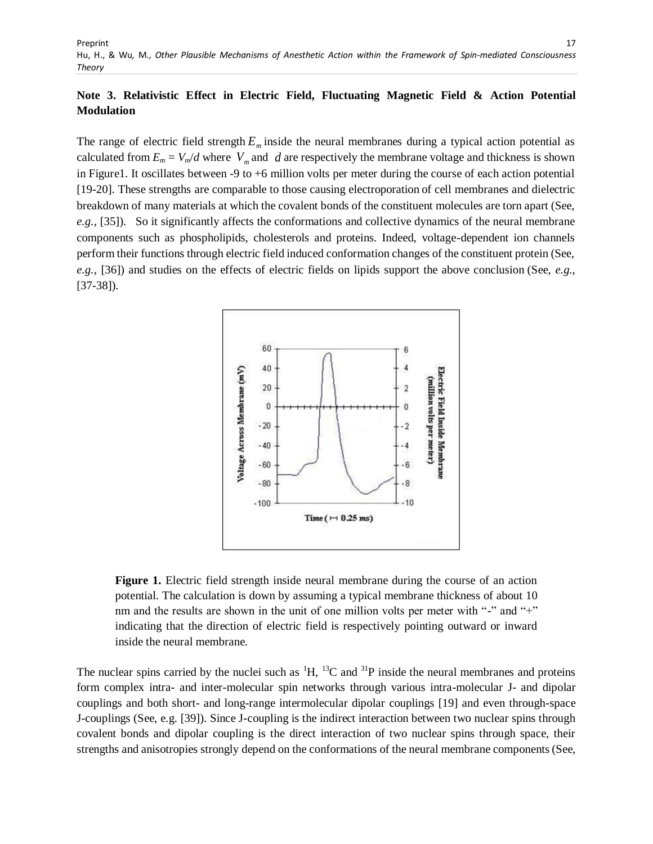### **Note 3. Relativistic Effect in Electric Field, Fluctuating Magnetic Field & Action Potential Modulation**

The range of electric field strength  $E_m$  inside the neural membranes during a typical action potential as calculated from  $E_m = V_m/d$  where  $V_m$  and  $d$  are respectively the membrane voltage and thickness is shown in Figure1. It oscillates between -9 to +6 million volts per meter during the course of each action potential [19-20]. These strengths are comparable to those causing electroporation of cell membranes and dielectric breakdown of many materials at which the covalent bonds of the constituent molecules are torn apart (See, *e.g.*, [35]). So it significantly affects the conformations and collective dynamics of the neural membrane components such as phospholipids, cholesterols and proteins. Indeed, voltage-dependent ion channels perform their functions through electric field induced conformation changes of the constituent protein (See, *e.g.*, [36]) and studies on the effects of electric fields on lipids support the above conclusion (See, *e.g.*, [37-38]).



**Figure 1.** Electric field strength inside neural membrane during the course of an action potential. The calculation is down by assuming a typical membrane thickness of about 10 nm and the results are shown in the unit of one million volts per meter with "-" and "+" indicating that the direction of electric field is respectively pointing outward or inward inside the neural membrane.

The nuclear spins carried by the nuclei such as  $^1H$ ,  $^{13}C$  and  $^{31}P$  inside the neural membranes and proteins form complex intra- and inter-molecular spin networks through various intra-molecular J- and dipolar couplings and both short- and long-range intermolecular dipolar couplings [19] and even through-space J-couplings (See, e.g. [39]). Since J-coupling is the indirect interaction between two nuclear spins through covalent bonds and dipolar coupling is the direct interaction of two nuclear spins through space, their strengths and anisotropies strongly depend on the conformations of the neural membrane components(See,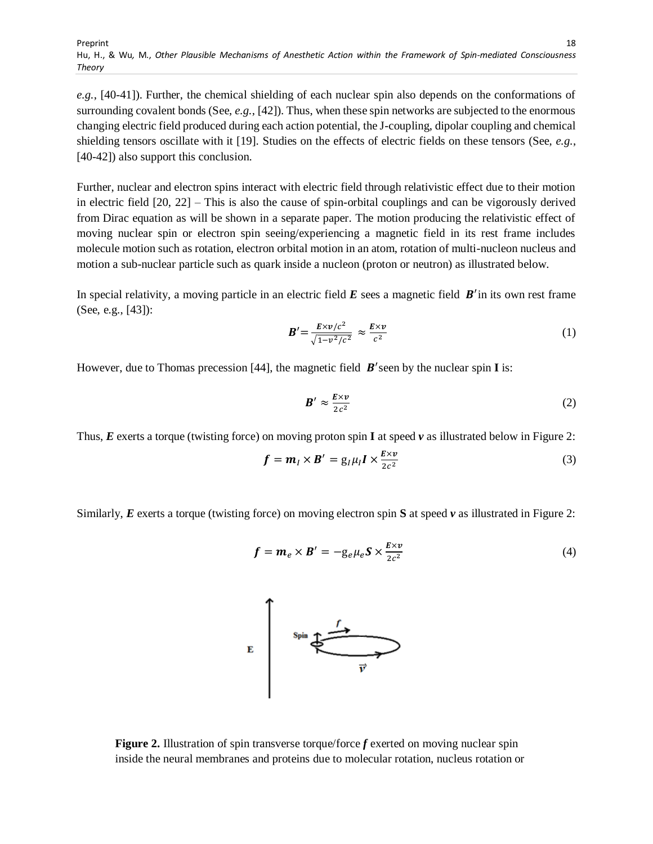*e.g.*, [40-41]). Further, the chemical shielding of each nuclear spin also depends on the conformations of surrounding covalent bonds (See, *e.g.*, [42]). Thus, when these spin networks are subjected to the enormous changing electric field produced during each action potential, the J-coupling, dipolar coupling and chemical shielding tensors oscillate with it [19]. Studies on the effects of electric fields on these tensors (See, *e.g.*, [40-42]) also support this conclusion.

Further, nuclear and electron spins interact with electric field through relativistic effect due to their motion in electric field [20, 22] – This is also the cause of spin-orbital couplings and can be vigorously derived from Dirac equation as will be shown in a separate paper. The motion producing the relativistic effect of moving nuclear spin or electron spin seeing/experiencing a magnetic field in its rest frame includes molecule motion such as rotation, electron orbital motion in an atom, rotation of multi-nucleon nucleus and motion a sub-nuclear particle such as quark inside a nucleon (proton or neutron) as illustrated below.

In special relativity, a moving particle in an electric field  $E$  sees a magnetic field  $B'$  in its own rest frame (See, e.g., [43]):

$$
\mathbf{B}' = \frac{E \times v/c^2}{\sqrt{1 - v^2/c^2}} \approx \frac{E \times v}{c^2} \tag{1}
$$

However, due to Thomas precession [44], the magnetic field  $B'$  seen by the nuclear spin **I** is:

$$
\mathbf{B}' \approx \frac{\mathbf{E} \times \mathbf{v}}{2c^2} \tag{2}
$$

Thus, *E* exerts a torque (twisting force) on moving proton spin **I** at speed *v* as illustrated below in Figure 2:

$$
\mathbf{f} = \mathbf{m}_I \times \mathbf{B}' = g_I \mu_I \mathbf{I} \times \frac{E \times v}{2c^2}
$$
 (3)

Similarly, *E* exerts a torque (twisting force) on moving electron spin **S** at speed *v* as illustrated in Figure 2:

$$
\mathbf{f} = \mathbf{m}_e \times \mathbf{B}' = -\mathbf{g}_e \mu_e \mathbf{S} \times \frac{E \times v}{2c^2}
$$
 (4)



**Figure 2.** Illustration of spin transverse torque/force *f* exerted on moving nuclear spin inside the neural membranes and proteins due to molecular rotation, nucleus rotation or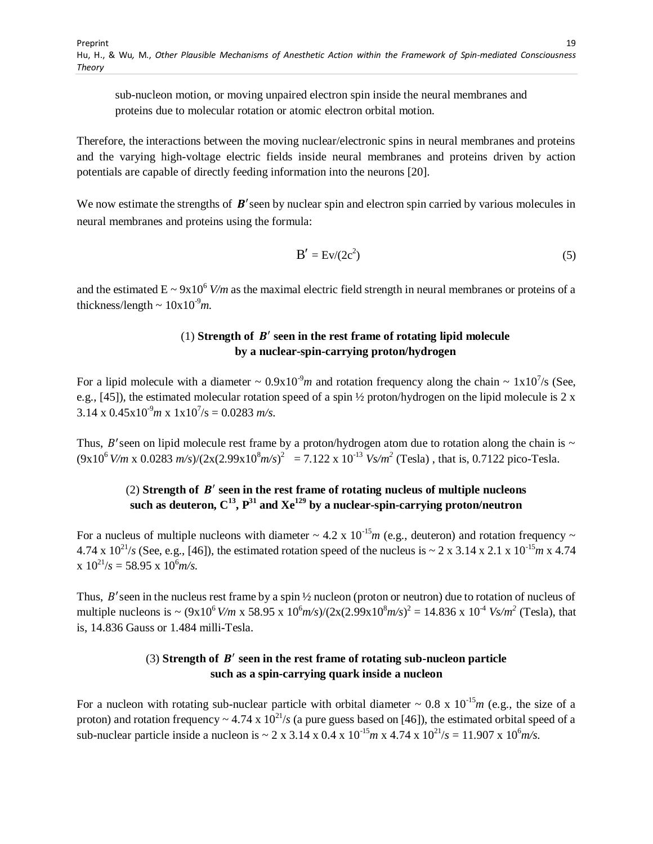sub-nucleon motion, or moving unpaired electron spin inside the neural membranes and proteins due to molecular rotation or atomic electron orbital motion.

Therefore, the interactions between the moving nuclear/electronic spins in neural membranes and proteins and the varying high-voltage electric fields inside neural membranes and proteins driven by action potentials are capable of directly feeding information into the neurons [20].

We now estimate the strengths of  $B'$  seen by nuclear spin and electron spin carried by various molecules in neural membranes and proteins using the formula:

$$
B' = Ev/(2c^2)
$$
 (5)

and the estimated  $E \sim 9x10^6$  *V/m* as the maximal electric field strength in neural membranes or proteins of a thickness/length  $\sim 10x10^{-9}m$ .

### (1) **Strength of seen in the rest frame of rotating lipid molecule by a nuclear-spin-carrying proton/hydrogen**

For a lipid molecule with a diameter  $\sim 0.9x10^{-9}m$  and rotation frequency along the chain  $\sim 1x10^7$ /s (See, e.g., [45]), the estimated molecular rotation speed of a spin ½ proton/hydrogen on the lipid molecule is 2 x  $3.14 \times 0.45 \times 10^{3}$   $m \times 1 \times 10^{7}$ /s = 0.0283  $m/s$ .

Thus, B'seen on lipid molecule rest frame by a proton/hydrogen atom due to rotation along the chain is  $\sim$  $(9x10^6 V/m \times 0.0283 m/s)/(2x(2.99x10^8 m/s)^2 = 7.122 \times 10^{-13} Vs/m^2$  (Tesla), that is, 0.7122 pico-Tesla.

# (2) Strength of  $B'$  seen in the rest frame of rotating nucleus of multiple nucleons such as deuteron,  $C^{13}$ ,  $P^{31}$  and  $Xe^{129}$  by a nuclear-spin-carrying proton/neutron

For a nucleus of multiple nucleons with diameter  $\sim 4.2 \times 10^{-15} m$  (e.g., deuteron) and rotation frequency  $\sim$ 4.74 x  $10^{21}/s$  (See, e.g., [46]), the estimated rotation speed of the nucleus is  $\sim 2 \times 3.14 \times 2.1 \times 10^{-15}$  m x 4.74  $x 10^{21}/s = 58.95 x 10^{6}$  *m/s.* 

Thus, B'seen in the nucleus rest frame by a spin 1/2 nucleon (proton or neutron) due to rotation of nucleus of multiple nucleons is  $\sim (9x10^6 V/m \times 58.95 \times 10^6 m/s)/(2x(2.99x10^8 m/s)^2 = 14.836 \times 10^{-4} Vs/m^2$  (Tesla), that is, 14.836 Gauss or 1.484 milli-Tesla.

### (3) Strength of  $B'$  seen in the rest frame of rotating sub-nucleon particle **such as a spin-carrying quark inside a nucleon**

For a nucleon with rotating sub-nuclear particle with orbital diameter  $\sim 0.8 \times 10^{-15} m$  (e.g., the size of a proton) and rotation frequency  $\sim 4.74 \times 10^{21}/s$  (a pure guess based on [46]), the estimated orbital speed of a sub-nuclear particle inside a nucleon is  $\sim 2 \times 3.14 \times 0.4 \times 10^{-15}$  m x 4.74 x  $10^{21}/s = 11.907 \times 10^{6}$  m/s.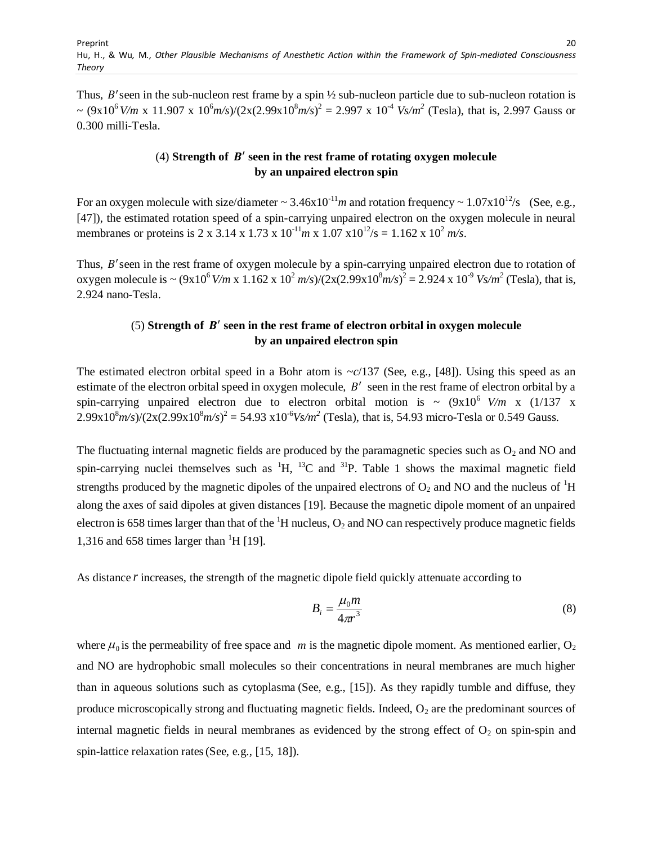Thus,  $B'$  seen in the sub-nucleon rest frame by a spin  $\frac{1}{2}$  sub-nucleon particle due to sub-nucleon rotation is  $\sim (9x10^6 V/m \times 11.907 \times 10^6 m/s)/(2x(2.99x10^8 m/s)^2 = 2.997 \times 10^4 V s/m^2$  (Tesla), that is, 2.997 Gauss or 0.300 milli-Tesla.

### (4) **Strength of seen in the rest frame of rotating oxygen molecule by an unpaired electron spin**

For an oxygen molecule with size/diameter  $\sim 3.46 \times 10^{-11}$  m and rotation frequency  $\sim 1.07 \times 10^{12}$ /s (See, e.g., [47]), the estimated rotation speed of a spin-carrying unpaired electron on the oxygen molecule in neural membranes or proteins is 2 x 3.14 x 1.73 x  $10^{-11}$  m x 1.07 x $10^{12}$ /s = 1.162 x  $10^{2}$  m/s.

Thus, B'seen in the rest frame of oxygen molecule by a spin-carrying unpaired electron due to rotation of oxygen molecule is  $\sim (9x10^6 V/m \times 1.162 \times 10^2 m/s)/(2x(2.99x10^8 m/s)^2 = 2.924 \times 10^{-9} V s/m^2$  (Tesla), that is, 2.924 nano-Tesla.

### $(5)$  Strength of  $B'$  seen in the rest frame of electron orbital in oxygen molecule **by an unpaired electron spin**

The estimated electron orbital speed in a Bohr atom is  $\sim c/137$  (See, e.g., [48]). Using this speed as an estimate of the electron orbital speed in oxygen molecule,  $B'$  seen in the rest frame of electron orbital by a spin-carrying unpaired electron due to electron orbital motion is  $\sim$   $(9x10^6$  V/m x  $(1/137 \text{ x})$  $2.99x10<sup>8</sup>m/s/(2x(2.99x10<sup>8</sup>m/s)<sup>2</sup> = 54.93 x10<sup>-6</sup>Vs/m<sup>2</sup>$  (Tesla), that is, 54.93 micro-Tesla or 0.549 Gauss.

The fluctuating internal magnetic fields are produced by the paramagnetic species such as  $O_2$  and NO and spin-carrying nuclei themselves such as  ${}^{1}H$ ,  ${}^{13}C$  and  ${}^{31}P$ . Table 1 shows the maximal magnetic field strengths produced by the magnetic dipoles of the unpaired electrons of  $O_2$  and NO and the nucleus of  ${}^{1}H$ along the axes of said dipoles at given distances [19]. Because the magnetic dipole moment of an unpaired electron is 658 times larger than that of the  ${}^{1}H$  nucleus, O<sub>2</sub> and NO can respectively produce magnetic fields 1,316 and 658 times larger than  $\mathrm{H}$  [19].

As distance r increases, the strength of the magnetic dipole field quickly attenuate according to

$$
B_i = \frac{\mu_0 m}{4\pi r^3} \tag{8}
$$

where  $\mu_0$  is the permeability of free space and m is the magnetic dipole moment. As mentioned earlier, O<sub>2</sub> and NO are hydrophobic small molecules so their concentrations in neural membranes are much higher than in aqueous solutions such as cytoplasma (See, e.g., [15]). As they rapidly tumble and diffuse, they produce microscopically strong and fluctuating magnetic fields. Indeed,  $O_2$  are the predominant sources of internal magnetic fields in neural membranes as evidenced by the strong effect of  $O_2$  on spin-spin and spin-lattice relaxation rates(See, e.g., [15, 18]).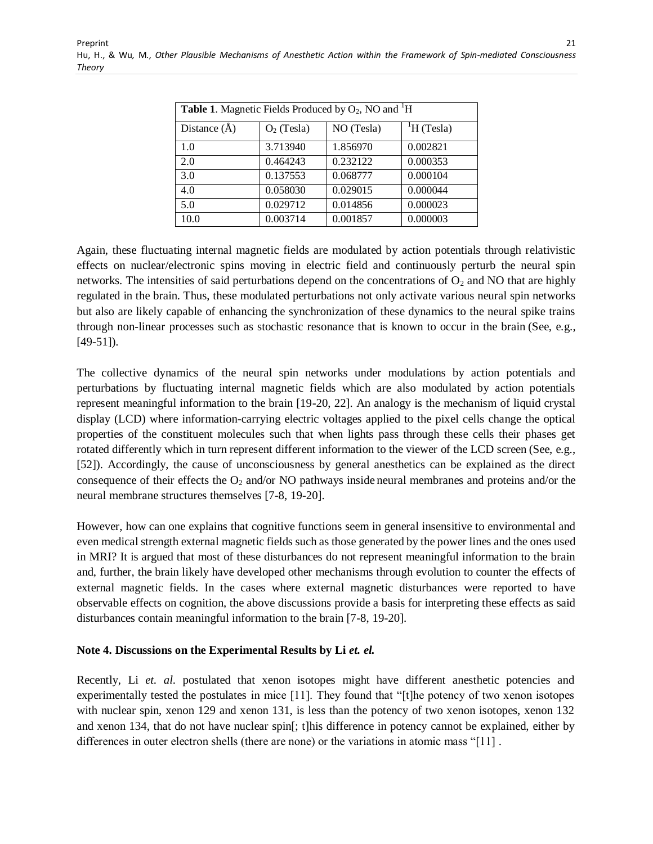| <b>Table 1.</b> Magnetic Fields Produced by $O_2$ , NO and $H$ |              |            |             |
|----------------------------------------------------------------|--------------|------------|-------------|
| Distance $(\AA)$                                               | $O2$ (Tesla) | NO (Tesla) | $H$ (Tesla) |
| 1.0                                                            | 3.713940     | 1.856970   | 0.002821    |
| 2.0                                                            | 0.464243     | 0.232122   | 0.000353    |
| 3.0                                                            | 0.137553     | 0.068777   | 0.000104    |
| 4.0                                                            | 0.058030     | 0.029015   | 0.000044    |
| 5.0                                                            | 0.029712     | 0.014856   | 0.000023    |
| 10.0                                                           | 0.003714     | 0.001857   | 0.000003    |

Preprint Hu, H., & Wu*,* M., *Other Plausible Mechanisms of Anesthetic Action within the Framework of Spin-mediated Consciousness Theory*

Again, these fluctuating internal magnetic fields are modulated by action potentials through relativistic effects on nuclear/electronic spins moving in electric field and continuously perturb the neural spin networks. The intensities of said perturbations depend on the concentrations of  $O<sub>2</sub>$  and NO that are highly regulated in the brain. Thus, these modulated perturbations not only activate various neural spin networks but also are likely capable of enhancing the synchronization of these dynamics to the neural spike trains through non-linear processes such as stochastic resonance that is known to occur in the brain (See, e.g., [49-51]).

The collective dynamics of the neural spin networks under modulations by action potentials and perturbations by fluctuating internal magnetic fields which are also modulated by action potentials represent meaningful information to the brain [19-20, 22]. An analogy is the mechanism of liquid crystal display (LCD) where information-carrying electric voltages applied to the pixel cells change the optical properties of the constituent molecules such that when lights pass through these cells their phases get rotated differently which in turn represent different information to the viewer of the LCD screen (See, e.g., [52]). Accordingly, the cause of unconsciousness by general anesthetics can be explained as the direct consequence of their effects the  $O_2$  and/or NO pathways inside neural membranes and proteins and/or the neural membrane structures themselves [7-8, 19-20].

However, how can one explains that cognitive functions seem in general insensitive to environmental and even medical strength external magnetic fields such as those generated by the power lines and the ones used in MRI? It is argued that most of these disturbances do not represent meaningful information to the brain and, further, the brain likely have developed other mechanisms through evolution to counter the effects of external magnetic fields. In the cases where external magnetic disturbances were reported to have observable effects on cognition, the above discussions provide a basis for interpreting these effects as said disturbances contain meaningful information to the brain [7-8, 19-20].

#### Note 4. Discussions on the Experimental Results by Li et. el.

Recently, Li *et. al.* postulated that xenon isotopes might have different anesthetic potencies and experimentally tested the postulates in mice [11]. They found that "[t]he potency of two xenon isotopes with nuclear spin, xenon 129 and xenon 131, is less than the potency of two xenon isotopes, xenon 132 and xenon 134, that do not have nuclear spin[; t]his difference in potency cannot be explained, either by differences in outer electron shells (there are none) or the variations in atomic mass "[11] .